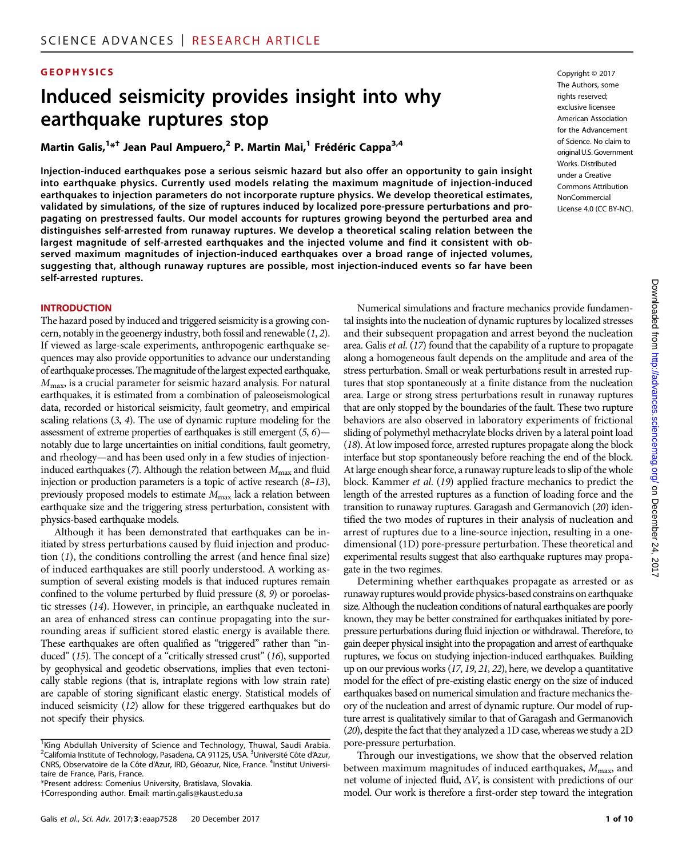#### **GEOPHYSICS** Copyright © 2017

# Induced seismicity provides insight into why earthquake ruptures stop

Martin Galis,<sup>1\*†</sup> Jean Paul Ampuero,<sup>2</sup> P. Martin Mai,<sup>1</sup> Frédéric Cappa<sup>3,4</sup>

Injection-induced earthquakes pose a serious seismic hazard but also offer an opportunity to gain insight into earthquake physics. Currently used models relating the maximum magnitude of injection-induced earthquakes to injection parameters do not incorporate rupture physics. We develop theoretical estimates, validated by simulations, of the size of ruptures induced by localized pore-pressure perturbations and propagating on prestressed faults. Our model accounts for ruptures growing beyond the perturbed area and distinguishes self-arrested from runaway ruptures. We develop a theoretical scaling relation between the largest magnitude of self-arrested earthquakes and the injected volume and find it consistent with observed maximum magnitudes of injection-induced earthquakes over a broad range of injected volumes, suggesting that, although runaway ruptures are possible, most injection-induced events so far have been self-arrested ruptures.

#### **INTRODUCTION**

The hazard posed by induced and triggered seismicity is a growing concern, notably in the geoenergy industry, both fossil and renewable (1, 2). If viewed as large-scale experiments, anthropogenic earthquake sequences may also provide opportunities to advance our understanding of earthquake processes. The magnitude of the largest expected earthquake,  $M_{\text{max}}$ , is a crucial parameter for seismic hazard analysis. For natural earthquakes, it is estimated from a combination of paleoseismological data, recorded or historical seismicity, fault geometry, and empirical scaling relations (3, 4). The use of dynamic rupture modeling for the assessment of extreme properties of earthquakes is still emergent (5, 6) notably due to large uncertainties on initial conditions, fault geometry, and rheology—and has been used only in a few studies of injectioninduced earthquakes (7). Although the relation between  $M_{\text{max}}$  and fluid injection or production parameters is a topic of active research  $(8-13)$ , previously proposed models to estimate  $M_{\text{max}}$  lack a relation between earthquake size and the triggering stress perturbation, consistent with physics-based earthquake models.

Although it has been demonstrated that earthquakes can be initiated by stress perturbations caused by fluid injection and production (1), the conditions controlling the arrest (and hence final size) of induced earthquakes are still poorly understood. A working assumption of several existing models is that induced ruptures remain confined to the volume perturbed by fluid pressure (8, 9) or poroelastic stresses (14). However, in principle, an earthquake nucleated in an area of enhanced stress can continue propagating into the surrounding areas if sufficient stored elastic energy is available there. These earthquakes are often qualified as "triggered" rather than "induced" (15). The concept of a "critically stressed crust" (16), supported by geophysical and geodetic observations, implies that even tectonically stable regions (that is, intraplate regions with low strain rate) are capable of storing significant elastic energy. Statistical models of induced seismicity (12) allow for these triggered earthquakes but do not specify their physics.

\*Present address: Comenius University, Bratislava, Slovakia. †Corresponding author. Email: martin.galis@kaust.edu.sa

The Authors, some rights reserved; exclusive licensee American Association for the Advancement of Science. No claim to original U.S. Government Works. Distributed under a Creative Commons Attribution NonCommercial License 4.0 (CC BY-NC).

Numerical simulations and fracture mechanics provide fundamental insights into the nucleation of dynamic ruptures by localized stresses and their subsequent propagation and arrest beyond the nucleation area. Galis et al. (17) found that the capability of a rupture to propagate along a homogeneous fault depends on the amplitude and area of the stress perturbation. Small or weak perturbations result in arrested ruptures that stop spontaneously at a finite distance from the nucleation area. Large or strong stress perturbations result in runaway ruptures that are only stopped by the boundaries of the fault. These two rupture behaviors are also observed in laboratory experiments of frictional sliding of polymethyl methacrylate blocks driven by a lateral point load (18). At low imposed force, arrested ruptures propagate along the block interface but stop spontaneously before reaching the end of the block. At large enough shear force, a runaway rupture leads to slip of the whole block. Kammer et al. (19) applied fracture mechanics to predict the length of the arrested ruptures as a function of loading force and the transition to runaway ruptures. Garagash and Germanovich (20) identified the two modes of ruptures in their analysis of nucleation and arrest of ruptures due to a line-source injection, resulting in a onedimensional (1D) pore-pressure perturbation. These theoretical and experimental results suggest that also earthquake ruptures may propagate in the two regimes.

Determining whether earthquakes propagate as arrested or as runaway ruptures would provide physics-based constrains on earthquake size. Although the nucleation conditions of natural earthquakes are poorly known, they may be better constrained for earthquakes initiated by porepressure perturbations during fluid injection or withdrawal. Therefore, to gain deeper physical insight into the propagation and arrest of earthquake ruptures, we focus on studying injection-induced earthquakes. Building up on our previous works (17, 19, 21, 22), here, we develop a quantitative model for the effect of pre-existing elastic energy on the size of induced earthquakes based on numerical simulation and fracture mechanics theory of the nucleation and arrest of dynamic rupture. Our model of rupture arrest is qualitatively similar to that of Garagash and Germanovich (20), despite the fact that they analyzed a 1D case, whereas we study a 2D pore-pressure perturbation.

Through our investigations, we show that the observed relation between maximum magnitudes of induced earthquakes,  $M_{\text{max}}$ , and net volume of injected fluid,  $\Delta V$ , is consistent with predictions of our model. Our work is therefore a first-order step toward the integration

<sup>&</sup>lt;sup>1</sup>King Abdullah University of Science and Technology, Thuwal, Saudi Arabia.<br><sup>2</sup>Colifornia Institute of Technology Rasadona CA 91125 USA <sup>3</sup>Université Cête d'Azur. California Institute of Technology, Pasadena, CA 91125, USA. <sup>3</sup>Université Côte d'Azur, CNRS, Observatoire de la Côte d'Azur, IRD, Géoazur, Nice, France. <sup>4</sup>Institut Universitaire de France, Paris, France.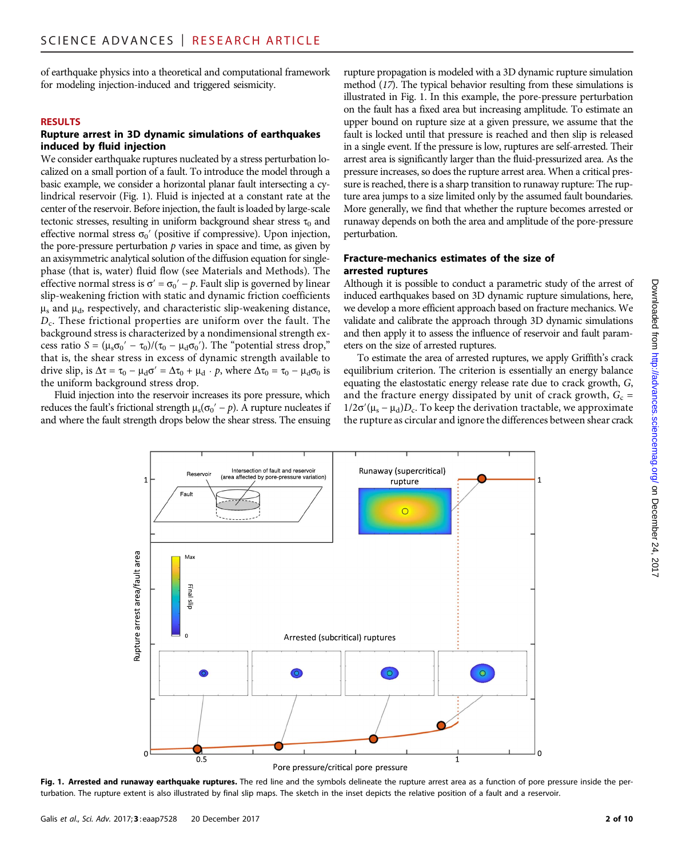of earthquake physics into a theoretical and computational framework for modeling injection-induced and triggered seismicity.

#### RESULTS

# Rupture arrest in 3D dynamic simulations of earthquakes induced by fluid injection

We consider earthquake ruptures nucleated by a stress perturbation localized on a small portion of a fault. To introduce the model through a basic example, we consider a horizontal planar fault intersecting a cylindrical reservoir (Fig. 1). Fluid is injected at a constant rate at the center of the reservoir. Before injection, the fault is loaded by large-scale tectonic stresses, resulting in uniform background shear stress  $\tau_0$  and effective normal stress  $\sigma_0'$  (positive if compressive). Upon injection, the pore-pressure perturbation  $p$  varies in space and time, as given by an axisymmetric analytical solution of the diffusion equation for singlephase (that is, water) fluid flow (see Materials and Methods). The effective normal stress is  $\sigma' = \sigma_0' - p$ . Fault slip is governed by linear slip-weakening friction with static and dynamic friction coefficients  $\mu_s$  and  $\mu_d$ , respectively, and characteristic slip-weakening distance,  $D<sub>c</sub>$ . These frictional properties are uniform over the fault. The background stress is characterized by a nondimensional strength excess ratio  $S = (\mu_s \sigma_0' - \tau_0) / (\tau_0 - \mu_d \sigma_0')$ . The "potential stress drop," that is, the shear stress in excess of dynamic strength available to drive slip, is  $\Delta \tau = \tau_0 - \mu_d \sigma' = \Delta \tau_0 + \mu_d \cdot p$ , where  $\Delta \tau_0 = \tau_0 - \mu_d \sigma_0$  is the uniform background stress drop.

Fluid injection into the reservoir increases its pore pressure, which reduces the fault's frictional strength  $\mu_s(\sigma_0' - p)$ . A rupture nucleates if and where the fault strength drops below the shear stress. The ensuing rupture propagation is modeled with a 3D dynamic rupture simulation method (17). The typical behavior resulting from these simulations is illustrated in Fig. 1. In this example, the pore-pressure perturbation on the fault has a fixed area but increasing amplitude. To estimate an upper bound on rupture size at a given pressure, we assume that the fault is locked until that pressure is reached and then slip is released in a single event. If the pressure is low, ruptures are self-arrested. Their arrest area is significantly larger than the fluid-pressurized area. As the pressure increases, so does the rupture arrest area. When a critical pressure is reached, there is a sharp transition to runaway rupture: The rupture area jumps to a size limited only by the assumed fault boundaries. More generally, we find that whether the rupture becomes arrested or runaway depends on both the area and amplitude of the pore-pressure perturbation.

# Fracture-mechanics estimates of the size of arrested ruptures

Although it is possible to conduct a parametric study of the arrest of induced earthquakes based on 3D dynamic rupture simulations, here, we develop a more efficient approach based on fracture mechanics. We validate and calibrate the approach through 3D dynamic simulations and then apply it to assess the influence of reservoir and fault parameters on the size of arrested ruptures.

To estimate the area of arrested ruptures, we apply Griffith's crack equilibrium criterion. The criterion is essentially an energy balance equating the elastostatic energy release rate due to crack growth, G, and the fracture energy dissipated by unit of crack growth,  $G_c$  =  $1/2\sigma'(\mu_s - \mu_d)D_c$ . To keep the derivation tractable, we approximate the rupture as circular and ignore the differences between shear crack



Fig. 1. Arrested and runaway earthquake ruptures. The red line and the symbols delineate the rupture arrest area as a function of pore pressure inside the perturbation. The rupture extent is also illustrated by final slip maps. The sketch in the inset depicts the relative position of a fault and a reservoir.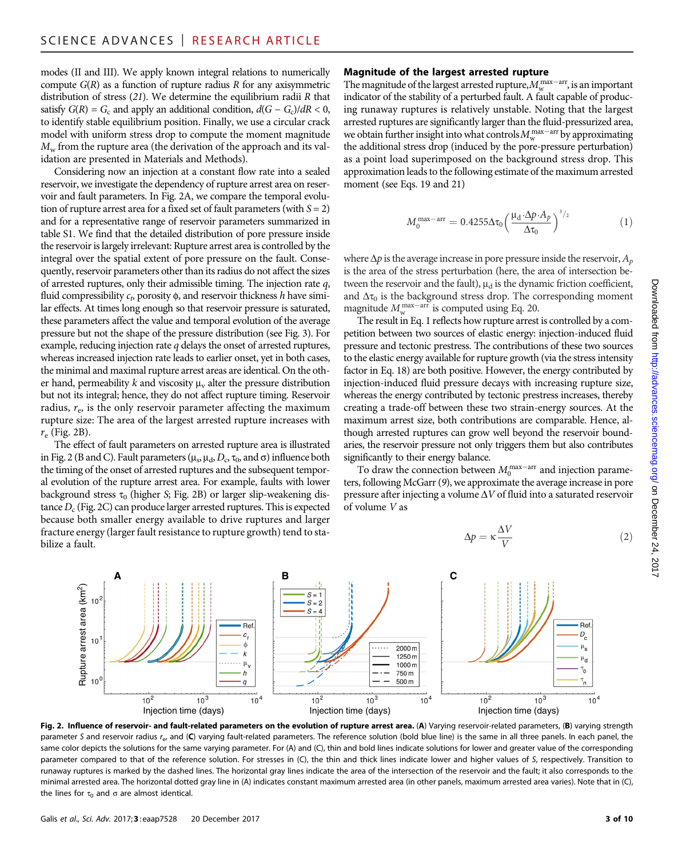modes (II and III). We apply known integral relations to numerically compute  $G(R)$  as a function of rupture radius R for any axisymmetric distribution of stress  $(21)$ . We determine the equilibrium radii R that satisfy  $G(R) = G_c$  and apply an additional condition,  $d(G - G_c)/dR < 0$ , to identify stable equilibrium position. Finally, we use a circular crack model with uniform stress drop to compute the moment magnitude  $M_{\rm w}$  from the rupture area (the derivation of the approach and its validation are presented in Materials and Methods).

Considering now an injection at a constant flow rate into a sealed reservoir, we investigate the dependency of rupture arrest area on reservoir and fault parameters. In Fig. 2A, we compare the temporal evolution of rupture arrest area for a fixed set of fault parameters (with  $S = 2$ ) and for a representative range of reservoir parameters summarized in table S1. We find that the detailed distribution of pore pressure inside the reservoir is largely irrelevant: Rupture arrest area is controlled by the integral over the spatial extent of pore pressure on the fault. Consequently, reservoir parameters other than its radius do not affect the sizes of arrested ruptures, only their admissible timing. The injection rate  $q$ , fluid compressibility  $c_t$ , porosity  $\phi$ , and reservoir thickness h have similar effects. At times long enough so that reservoir pressure is saturated, these parameters affect the value and temporal evolution of the average pressure but not the shape of the pressure distribution (see Fig. 3). For example, reducing injection rate  $q$  delays the onset of arrested ruptures, whereas increased injection rate leads to earlier onset, yet in both cases, the minimal and maximal rupture arrest areas are identical. On the other hand, permeability k and viscosity  $\mu_{v}$  alter the pressure distribution but not its integral; hence, they do not affect rupture timing. Reservoir radius,  $r_{\rm e}$ , is the only reservoir parameter affecting the maximum rupture size: The area of the largest arrested rupture increases with  $r_e$  (Fig. 2B).

The effect of fault parameters on arrested rupture area is illustrated in Fig. 2 (B and C). Fault parameters ( $\mu_s$ ,  $\mu_d$ ,  $D_c$ ,  $\tau_0$ , and  $\sigma$ ) influence both the timing of the onset of arrested ruptures and the subsequent temporal evolution of the rupture arrest area. For example, faults with lower background stress  $\tau_0$  (higher S; Fig. 2B) or larger slip-weakening distance  $D_c$  (Fig. 2C) can produce larger arrested ruptures. This is expected because both smaller energy available to drive ruptures and larger fracture energy (larger fault resistance to rupture growth) tend to stabilize a fault.

# Magnitude of the largest arrested rupture

The magnitude of the largest arrested rupture,  $M_{\rm w}^{\rm max-arr}$ , is an important indicator of the stability of a perturbed fault. A fault capable of producing runaway ruptures is relatively unstable. Noting that the largest arrested ruptures are significantly larger than the fluid-pressurized area, we obtain further insight into what controls  $M_{\rm w}^{\rm max-arr}$  by approximating the additional stress drop (induced by the pore-pressure perturbation) as a point load superimposed on the background stress drop. This approximation leads to the following estimate of the maximum arrested moment (see Eqs. 19 and 21)

$$
M_0^{\rm max-arr} = 0.4255 \Delta \tau_0 \left(\frac{\mu_d \cdot \Delta p \cdot A_p}{\Delta \tau_0}\right)^{3/2} \tag{1}
$$

where  $\Delta p$  is the average increase in pore pressure inside the reservoir,  $A_p$ is the area of the stress perturbation (here, the area of intersection between the reservoir and the fault),  $\mu_d$  is the dynamic friction coefficient, and  $\Delta\tau_0$  is the background stress drop. The corresponding moment magnitude  $M_{\rm w}^{\rm max-arr}$  is computed using Eq. 20.

The result in Eq. 1 reflects how rupture arrest is controlled by a competition between two sources of elastic energy: injection-induced fluid pressure and tectonic prestress. The contributions of these two sources to the elastic energy available for rupture growth (via the stress intensity factor in Eq. 18) are both positive. However, the energy contributed by injection-induced fluid pressure decays with increasing rupture size, whereas the energy contributed by tectonic prestress increases, thereby creating a trade-off between these two strain-energy sources. At the maximum arrest size, both contributions are comparable. Hence, although arrested ruptures can grow well beyond the reservoir boundaries, the reservoir pressure not only triggers them but also contributes significantly to their energy balance.

To draw the connection between  $M_0^{\text{max-arr}}$  and injection parameters, following McGarr (9), we approximate the average increase in pore pressure after injecting a volume  $\Delta V$  of fluid into a saturated reservoir of volume V as

 $\Delta p = \kappa \frac{\Delta V}{V}$ 





Downloaded from <http://advances.sciencemag.org/> on December 24, 2017



Fig. 2. Influence of reservoir- and fault-related parameters on the evolution of rupture arrest area. (A) Varying reservoir-related parameters, (B) varying strength parameter S and reservoir radius r<sub>e</sub>, and (C) varying fault-related parameters. The reference solution (bold blue line) is the same in all three panels. In each panel, the same color depicts the solutions for the same varying parameter. For (A) and (C), thin and bold lines indicate solutions for lower and greater value of the corresponding parameter compared to that of the reference solution. For stresses in (C), the thin and thick lines indicate lower and higher values of S, respectively. Transition to runaway ruptures is marked by the dashed lines. The horizontal gray lines indicate the area of the intersection of the reservoir and the fault; it also corresponds to the minimal arrested area. The horizontal dotted gray line in (A) indicates constant maximum arrested area (in other panels, maximum arrested area varies). Note that in (C), the lines for  $\tau_0$  and  $\sigma$  are almost identical.

Rupture arrest area (km<sup>2</sup>)

Rupture arrest area (km<sup>2</sup>)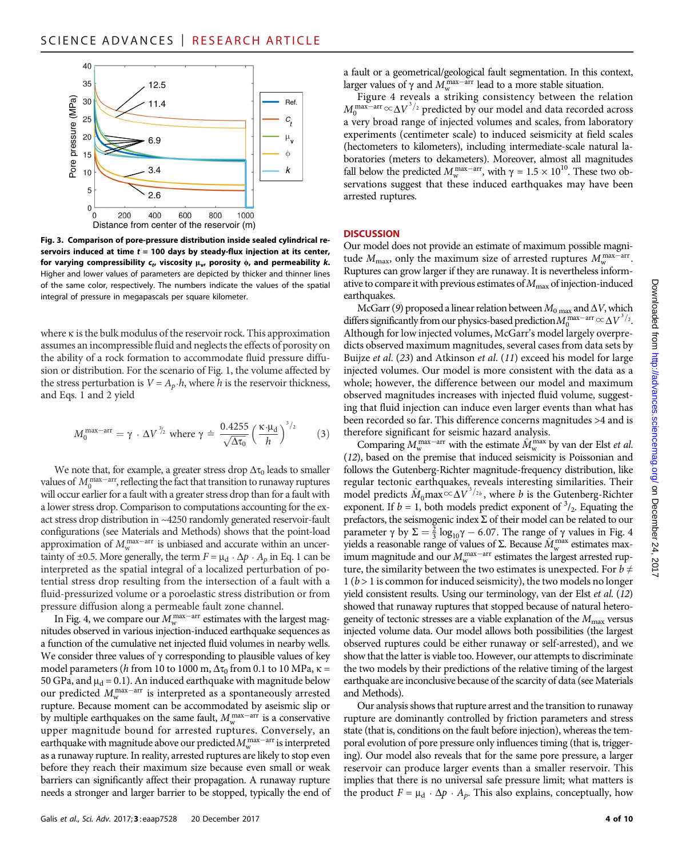

Fig. 3. Comparison of pore-pressure distribution inside sealed cylindrical reservoirs induced at time  $t = 100$  days by steady-flux injection at its center, for varying compressibility  $c_t$ , viscosity  $\mu_v$ , porosity  $\phi$ , and permeability k. Higher and lower values of parameters are depicted by thicker and thinner lines of the same color, respectively. The numbers indicate the values of the spatial integral of pressure in megapascals per square kilometer.

where  $\kappa$  is the bulk modulus of the reservoir rock. This approximation assumes an incompressible fluid and neglects the effects of porosity on the ability of a rock formation to accommodate fluid pressure diffusion or distribution. For the scenario of Fig. 1, the volume affected by the stress perturbation is  $V = A_p \cdot h$ , where h is the reservoir thickness, and Eqs. 1 and 2 yield

$$
M_0^{\text{max-arr}} = \gamma \cdot \Delta V^{\frac{3}{2}} \text{ where } \gamma \doteq \frac{0.4255}{\sqrt{\Delta \tau_0}} \left(\frac{\kappa \cdot \mu_d}{h}\right)^{3/2} \tag{3}
$$

We note that, for example, a greater stress drop  $\Delta\tau_0$  leads to smaller values of  $M_0^{\text{max-arr}}$ , reflecting the fact that transition to runaway ruptures will occur earlier for a fault with a greater stress drop than for a fault with a lower stress drop. Comparison to computations accounting for the exact stress drop distribution in ~4250 randomly generated reservoir-fault configurations (see Materials and Methods) shows that the point-load approximation of  $M_{\rm w}^{\rm max-arr}$  is unbiased and accurate within an uncertainty of ±0.5. More generally, the term  $F = \mu_d \cdot \Delta p \cdot A_p$  in Eq. 1 can be interpreted as the spatial integral of a localized perturbation of potential stress drop resulting from the intersection of a fault with a fluid-pressurized volume or a poroelastic stress distribution or from pressure diffusion along a permeable fault zone channel.

In Fig. 4, we compare our  $M_{\rm w}^{\rm max-arr}$  estimates with the largest magnitudes observed in various injection-induced earthquake sequences as a function of the cumulative net injected fluid volumes in nearby wells. We consider three values of  $\gamma$  corresponding to plausible values of key model parameters (h from 10 to 1000 m,  $\Delta\tau_0$  from 0.1 to 10 MPa,  $\kappa$  = 50 GPa, and  $\mu_d = 0.1$ ). An induced earthquake with magnitude below our predicted  $M_{\rm w}^{\rm max-arr}$  is interpreted as a spontaneously arrested rupture. Because moment can be accommodated by aseismic slip or by multiple earthquakes on the same fault,  $M_{\rm w}^{\rm max-arr}$  is a conservative upper magnitude bound for arrested ruptures. Conversely, an earthquake with magnitude above our predicted  $M_{\rm w}^{\rm max-arr}$  is interpreted as a runaway rupture. In reality, arrested ruptures are likely to stop even before they reach their maximum size because even small or weak barriers can significantly affect their propagation. A runaway rupture needs a stronger and larger barrier to be stopped, typically the end of

a fault or a geometrical/geological fault segmentation. In this context, larger values of  $\gamma$  and  $M_{\rm w}^{\rm max-arr}$  lead to a more stable situation.

Figure 4 reveals a striking consistency between the relation  $M_0^{\text{max-arr}} \propto \Delta V^{3/2}$  predicted by our model and data recorded across a very broad range of injected volumes and scales, from laboratory experiments (centimeter scale) to induced seismicity at field scales (hectometers to kilometers), including intermediate-scale natural laboratories (meters to dekameters). Moreover, almost all magnitudes fall below the predicted  $M_{\rm w}^{\rm max-arr}$ , with  $\gamma = 1.5 \times 10^{10}$ . These two observations suggest that these induced earthquakes may have been arrested ruptures.

#### **DISCUSSION**

Our model does not provide an estimate of maximum possible magnitude  $M_{\text{max}}$ , only the maximum size of arrested ruptures  $M_{\text{w}}^{\text{max-arr}}$ . Ruptures can grow larger if they are runaway. It is nevertheless informative to compare it with previous estimates of  $M_{\text{max}}$  of injection-induced earthquakes.

McGarr (9) proposed a linear relation between  $M_0$  max and  $\Delta V$ , which differs significantly from our physics-based prediction  $M_0^{\rm max-arr} \propto \Delta V^{3/2}$ . Although for low injected volumes, McGarr's model largely overpredicts observed maximum magnitudes, several cases from data sets by Buijze et al. (23) and Atkinson et al. (11) exceed his model for large injected volumes. Our model is more consistent with the data as a whole; however, the difference between our model and maximum observed magnitudes increases with injected fluid volume, suggesting that fluid injection can induce even larger events than what has been recorded so far. This difference concerns magnitudes >4 and is therefore significant for seismic hazard analysis.

Comparing  $M_{\rm w}^{\rm max-arr}$  with the estimate  $\hat{M}_{\rm w}^{\rm max}$  by van der Elst *et al.* (12), based on the premise that induced seismicity is Poissonian and follows the Gutenberg-Richter magnitude-frequency distribution, like regular tectonic earthquakes, reveals interesting similarities. Their model predicts  $\hat{M}_0$  max  $\propto \Delta V^{3/2b}$ , where b is the Gutenberg-Richter exponent. If  $b = 1$ , both models predict exponent of  $\frac{3}{2}$ . Equating the prefactors, the seismogenic index  $\Sigma$  of their model can be related to our parameter  $\gamma$  by  $\Sigma = \frac{2}{3} \log_{10} \gamma - 6.07$ . The range of  $\gamma$  values in Fig. 4 yields a reasonable range of values of  $\Sigma$ . Because  $\hat{M}_{w}^{\max}$  estimates maximum magnitude and our  $M_{\rm w}^{\rm max-arr}$  estimates the largest arrested rupture, the similarity between the two estimates is unexpected. For  $b \neq$  $1 (b > 1)$  is common for induced seismicity), the two models no longer yield consistent results. Using our terminology, van der Elst et al. (12) showed that runaway ruptures that stopped because of natural heterogeneity of tectonic stresses are a viable explanation of the  $M_{\text{max}}$  versus injected volume data. Our model allows both possibilities (the largest observed ruptures could be either runaway or self-arrested), and we show that the latter is viable too. However, our attempts to discriminate the two models by their predictions of the relative timing of the largest earthquake are inconclusive because of the scarcity of data (see Materials and Methods).

Our analysis shows that rupture arrest and the transition to runaway rupture are dominantly controlled by friction parameters and stress state (that is, conditions on the fault before injection), whereas the temporal evolution of pore pressure only influences timing (that is, triggering). Our model also reveals that for the same pore pressure, a larger reservoir can produce larger events than a smaller reservoir. This implies that there is no universal safe pressure limit; what matters is the product  $F = \mu_d \cdot \Delta p \cdot A_p$ . This also explains, conceptually, how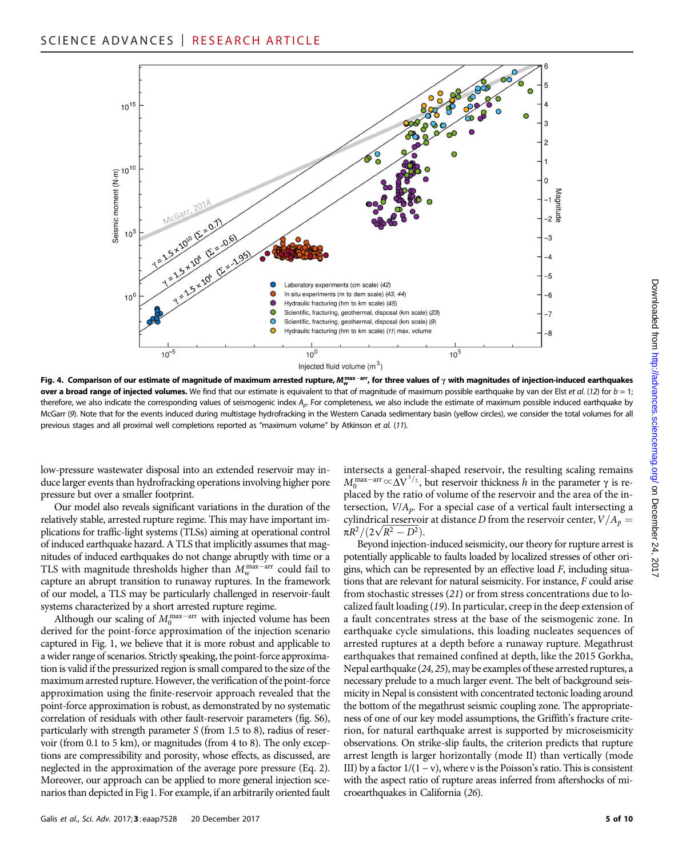

Fig. 4. Comparison of our estimate of magnitude of maximum arrested rupture,  $M_{\rm w}^{\rm max-arr}$ , for three values of  $\gamma$  with magnitudes of injection-induced earthquakes over a broad range of injected volumes. We find that our estimate is equivalent to that of magnitude of maximum possible earthquake by van der Elst et al. (12) for  $b = 1$ ; therefore, we also indicate the corresponding values of seismogenic index  $A_p$ . For completeness, we also include the estimate of maximum possible induced earthquake by McGarr (9). Note that for the events induced during multistage hydrofracking in the Western Canada sedimentary basin (yellow circles), we consider the total volumes for all previous stages and all proximal well completions reported as "maximum volume" by Atkinson et al. (11).

low-pressure wastewater disposal into an extended reservoir may induce larger events than hydrofracking operations involving higher pore pressure but over a smaller footprint.

Our model also reveals significant variations in the duration of the relatively stable, arrested rupture regime. This may have important implications for traffic-light systems (TLSs) aiming at operational control of induced earthquake hazard. A TLS that implicitly assumes that magnitudes of induced earthquakes do not change abruptly with time or a TLS with magnitude thresholds higher than  $M_{\rm w}^{\rm max-arr}$  could fail to capture an abrupt transition to runaway ruptures. In the framework of our model, a TLS may be particularly challenged in reservoir-fault systems characterized by a short arrested rupture regime.

Although our scaling of  $M_0^{\text{max-arr}}$  with injected volume has been derived for the point-force approximation of the injection scenario captured in Fig. 1, we believe that it is more robust and applicable to a wider range of scenarios. Strictly speaking, the point-force approximation is valid if the pressurized region is small compared to the size of the maximum arrested rupture. However, the verification of the point-force approximation using the finite-reservoir approach revealed that the point-force approximation is robust, as demonstrated by no systematic correlation of residuals with other fault-reservoir parameters (fig. S6), particularly with strength parameter S (from 1.5 to 8), radius of reservoir (from 0.1 to 5 km), or magnitudes (from 4 to 8). The only exceptions are compressibility and porosity, whose effects, as discussed, are neglected in the approximation of the average pore pressure (Eq. 2). Moreover, our approach can be applied to more general injection scenarios than depicted in Fig 1. For example, if an arbitrarily oriented fault

intersects a general-shaped reservoir, the resulting scaling remains  $M_0^{\text{max-arr}} \propto \Delta V^{3/2}$ , but reservoir thickness h in the parameter  $\gamma$  is replaced by the ratio of volume of the reservoir and the area of the intersection,  $V/A_p$ . For a special case of a vertical fault intersecting a cylindrical reservoir at distance D from the reservoir center,  $V/A_p =$  $\pi R^2/(2\sqrt{R^2-D^2}).$ 

Beyond injection-induced seismicity, our theory for rupture arrest is potentially applicable to faults loaded by localized stresses of other origins, which can be represented by an effective load F, including situations that are relevant for natural seismicity. For instance, F could arise from stochastic stresses (21) or from stress concentrations due to localized fault loading (19). In particular, creep in the deep extension of a fault concentrates stress at the base of the seismogenic zone. In earthquake cycle simulations, this loading nucleates sequences of arrested ruptures at a depth before a runaway rupture. Megathrust earthquakes that remained confined at depth, like the 2015 Gorkha, Nepal earthquake (24, 25), may be examples of these arrested ruptures, a necessary prelude to a much larger event. The belt of background seismicity in Nepal is consistent with concentrated tectonic loading around the bottom of the megathrust seismic coupling zone. The appropriateness of one of our key model assumptions, the Griffith's fracture criterion, for natural earthquake arrest is supported by microseismicity observations. On strike-slip faults, the criterion predicts that rupture arrest length is larger horizontally (mode II) than vertically (mode III) by a factor  $1/(1 - v)$ , where v is the Poisson's ratio. This is consistent with the aspect ratio of rupture areas inferred from aftershocks of microearthquakes in California (26).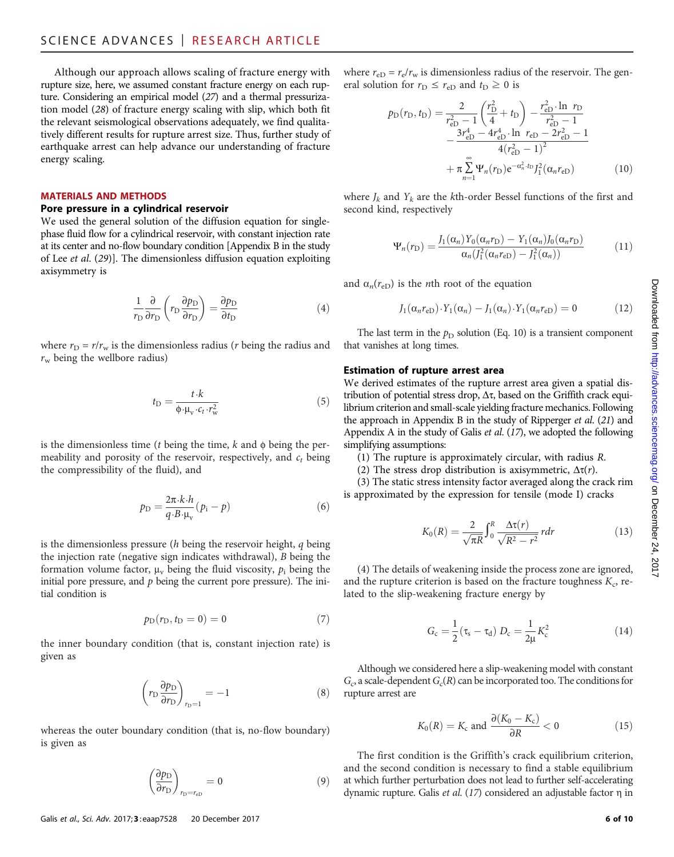Although our approach allows scaling of fracture energy with rupture size, here, we assumed constant fracture energy on each rupture. Considering an empirical model (27) and a thermal pressurization model (28) of fracture energy scaling with slip, which both fit the relevant seismological observations adequately, we find qualitatively different results for rupture arrest size. Thus, further study of earthquake arrest can help advance our understanding of fracture energy scaling.

### MATERIALS AND METHODS

#### Pore pressure in a cylindrical reservoir

We used the general solution of the diffusion equation for singlephase fluid flow for a cylindrical reservoir, with constant injection rate at its center and no-flow boundary condition [Appendix B in the study of Lee et al. (29)]. The dimensionless diffusion equation exploiting axisymmetry is

$$
\frac{1}{r_{\rm D}} \frac{\partial}{\partial r_{\rm D}} \left( r_{\rm D} \frac{\partial p_{\rm D}}{\partial r_{\rm D}} \right) = \frac{\partial p_{\rm D}}{\partial t_{\rm D}} \tag{4}
$$

where  $r_D = r/r_w$  is the dimensionless radius (*r* being the radius and  $r_w$  being the wellbore radius)

$$
t_{\rm D} = \frac{t \cdot k}{\phi \cdot \mu_{\rm v} \cdot c_t \cdot r_{\rm w}^2} \tag{5}
$$

is the dimensionless time ( $t$  being the time,  $k$  and  $\phi$  being the permeability and porosity of the reservoir, respectively, and  $c_t$  being the compressibility of the fluid), and

$$
p_{\rm D} = \frac{2\pi \cdot k \cdot h}{q \cdot B \cdot \mu_{\rm v}} (p_{\rm i} - p) \tag{6}
$$

is the dimensionless pressure ( $h$  being the reservoir height,  $q$  being the injection rate (negative sign indicates withdrawal), B being the formation volume factor,  $\mu_v$  being the fluid viscosity,  $p_i$  being the initial pore pressure, and  $p$  being the current pore pressure). The initial condition is

$$
p_{\rm D}(r_{\rm D},t_{\rm D}=0)=0 \qquad \qquad (7)
$$

the inner boundary condition (that is, constant injection rate) is given as

$$
\left(r_{\rm D} \frac{\partial p_{\rm D}}{\partial r_{\rm D}}\right)_{r_{\rm D}=1} = -1 \tag{8}
$$

whereas the outer boundary condition (that is, no-flow boundary) is given as

$$
\left(\frac{\partial p_{\rm D}}{\partial r_{\rm D}}\right)_{r_{\rm D}=r_{\rm eD}}=0\tag{9}
$$

where  $r_{eD} = r_e/r_w$  is dimensionless radius of the reservoir. The general solution for  $r_D \le r_{eD}$  and  $t_D \ge 0$  is

$$
p_{\rm D}(r_{\rm D}, t_{\rm D}) = \frac{2}{r_{\rm eD}^2 - 1} \left(\frac{r_{\rm D}^2}{4} + t_{\rm D}\right) - \frac{r_{\rm eD}^2 \cdot \ln \ r_{\rm D}}{r_{\rm eD}^2 - 1} - \frac{3r_{\rm eD}^4 - 4r_{\rm eD}^4 \cdot \ln \ r_{\rm eD} - 2r_{\rm eD}^2 - 1}{4(r_{\rm eD}^2 - 1)^2} + \pi \sum_{n=1}^{\infty} \Psi_n(r_{\rm D}) e^{-\alpha_n^2 \cdot t_{\rm D}} J_1^2(\alpha_n r_{\rm eD}) \tag{10}
$$

where  $J_k$  and  $Y_k$  are the kth-order Bessel functions of the first and second kind, respectively

$$
\Psi_n(r_{\rm D}) = \frac{J_1(\alpha_n)Y_0(\alpha_n r_{\rm D}) - Y_1(\alpha_n)J_0(\alpha_n r_{\rm D})}{\alpha_n(J_1^2(\alpha_n r_{\rm D}) - J_1^2(\alpha_n))}
$$
(11)

and  $\alpha_n(r_{eD})$  is the *n*th root of the equation

$$
J_1(\alpha_n r_{eD}) \cdot Y_1(\alpha_n) - J_1(\alpha_n) \cdot Y_1(\alpha_n r_{eD}) = 0 \qquad (12)
$$

The last term in the  $p_D$  solution (Eq. 10) is a transient component that vanishes at long times.

### Estimation of rupture arrest area

We derived estimates of the rupture arrest area given a spatial distribution of potential stress drop,  $\Delta \tau$ , based on the Griffith crack equilibrium criterion and small-scale yielding fracture mechanics. Following the approach in Appendix B in the study of Ripperger et al. (21) and Appendix A in the study of Galis et al. (17), we adopted the following simplifying assumptions:

(1) The rupture is approximately circular, with radius R.

(2) The stress drop distribution is axisymmetric,  $\Delta \tau(r)$ .

(3) The static stress intensity factor averaged along the crack rim is approximated by the expression for tensile (mode I) cracks

$$
K_0(R) = \frac{2}{\sqrt{\pi R}} \int_0^R \frac{\Delta \tau(r)}{\sqrt{R^2 - r^2}} r dr \qquad (13)
$$

(4) The details of weakening inside the process zone are ignored, and the rupture criterion is based on the fracture toughness  $K_c$ , related to the slip-weakening fracture energy by

$$
G_c = \frac{1}{2} (\tau_s - \tau_d) D_c = \frac{1}{2\mu} K_c^2
$$
 (14)

Although we considered here a slip-weakening model with constant  $G_c$  a scale-dependent  $G_c(R)$  can be incorporated too. The conditions for rupture arrest are

$$
K_0(R) = K_{\rm c} \text{ and } \frac{\partial (K_0 - K_{\rm c})}{\partial R} < 0 \tag{15}
$$

The first condition is the Griffith's crack equilibrium criterion, and the second condition is necessary to find a stable equilibrium at which further perturbation does not lead to further self-accelerating dynamic rupture. Galis et al.  $(17)$  considered an adjustable factor  $\eta$  in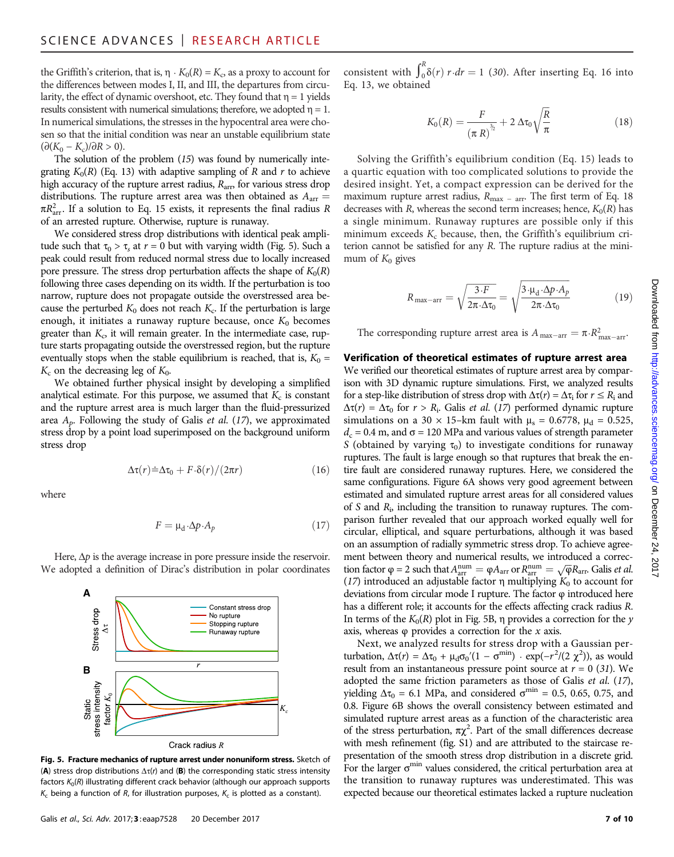the Griffith's criterion, that is,  $\eta \cdot K_0(R) = K_c$ , as a proxy to account for the differences between modes I, II, and III, the departures from circularity, the effect of dynamic overshoot, etc. They found that  $\eta = 1$  yields results consistent with numerical simulations; therefore, we adopted  $\eta = 1$ . In numerical simulations, the stresses in the hypocentral area were chosen so that the initial condition was near an unstable equilibrium state  $(\partial (K_0 - K_c)/\partial R > 0).$ 

The solution of the problem (15) was found by numerically integrating  $K_0(R)$  (Eq. 13) with adaptive sampling of R and r to achieve high accuracy of the rupture arrest radius,  $R_{\text{arr}}$ , for various stress drop distributions. The rupture arrest area was then obtained as  $A_{\text{arr}} =$  $\pi R_{\text{arr}}^2$ . If a solution to Eq. 15 exists, it represents the final radius R of an arrested rupture. Otherwise, rupture is runaway.

We considered stress drop distributions with identical peak amplitude such that  $\tau_0 > \tau_s$  at  $r = 0$  but with varying width (Fig. 5). Such a peak could result from reduced normal stress due to locally increased pore pressure. The stress drop perturbation affects the shape of  $K_0(R)$ following three cases depending on its width. If the perturbation is too narrow, rupture does not propagate outside the overstressed area because the perturbed  $K_0$  does not reach  $K_c$ . If the perturbation is large enough, it initiates a runaway rupture because, once  $K_0$  becomes greater than  $K<sub>c</sub>$ , it will remain greater. In the intermediate case, rupture starts propagating outside the overstressed region, but the rupture eventually stops when the stable equilibrium is reached, that is,  $K_0 =$  $K_c$  on the decreasing leg of  $K_0$ .

We obtained further physical insight by developing a simplified analytical estimate. For this purpose, we assumed that  $K_c$  is constant and the rupture arrest area is much larger than the fluid-pressurized area  $A_p$ . Following the study of Galis *et al.* (17), we approximated stress drop by a point load superimposed on the background uniform stress drop

$$
\Delta \tau(r) \doteq \Delta \tau_0 + F \cdot \delta(r) / (2\pi r) \tag{16}
$$

where

$$
F = \mu_{\rm d} \cdot \Delta p \cdot A_p \tag{17}
$$

Here,  $\Delta p$  is the average increase in pore pressure inside the reservoir. We adopted a definition of Dirac's distribution in polar coordinates



Fig. 5. Fracture mechanics of rupture arrest under nonuniform stress. Sketch of (A) stress drop distributions  $\Delta \tau(r)$  and (B) the corresponding static stress intensity factors  $K_0(R)$  illustrating different crack behavior (although our approach supports  $K_c$  being a function of R, for illustration purposes,  $K_c$  is plotted as a constant).

Galis et al., Sci. Adv. 2017;3: eaap7528 20 December 2017 7 of 10

consistent with  $\int_0^R \delta(r) r dr = 1$  (30). After inserting Eq. 16 into Eq. 13, we obtained

$$
K_0(R) = \frac{F}{\left(\pi R\right)^{\frac{2}{2}}} + 2 \Delta \tau_0 \sqrt{\frac{R}{\pi}} \tag{18}
$$

Solving the Griffith's equilibrium condition (Eq. 15) leads to a quartic equation with too complicated solutions to provide the desired insight. Yet, a compact expression can be derived for the maximum rupture arrest radius,  $R_{\text{max}}$  – arr. The first term of Eq. 18 decreases with R, whereas the second term increases; hence,  $K_0(R)$  has a single minimum. Runaway ruptures are possible only if this minimum exceeds  $K_c$  because, then, the Griffith's equilibrium criterion cannot be satisfied for any  $R$ . The rupture radius at the minimum of  $K_0$  gives

$$
R_{\text{max-arr}} = \sqrt{\frac{3 \cdot F}{2\pi \cdot \Delta \tau_0}} = \sqrt{\frac{3 \cdot \mu_d \cdot \Delta p \cdot A_p}{2\pi \cdot \Delta \tau_0}}
$$
(19)

The corresponding rupture arrest area is  $A_{\text{max-arr}} = \pi \cdot R_{\text{max-arr}}^2$ .

#### Verification of theoretical estimates of rupture arrest area

We verified our theoretical estimates of rupture arrest area by comparison with 3D dynamic rupture simulations. First, we analyzed results for a step-like distribution of stress drop with  $\Delta \tau(r) = \Delta \tau_i$  for  $r \le R_i$  and  $\Delta \tau(r) = \Delta \tau_0$  for  $r > R_i$ . Galis *et al.* (17) performed dynamic rupture simulations on a 30  $\times$  15-km fault with  $\mu_s = 0.6778$ ,  $\mu_d = 0.525$ ,  $d_c$  = 0.4 m, and  $\sigma$  = 120 MPa and various values of strength parameter S (obtained by varying  $\tau_0$ ) to investigate conditions for runaway ruptures. The fault is large enough so that ruptures that break the entire fault are considered runaway ruptures. Here, we considered the same configurations. Figure 6A shows very good agreement between estimated and simulated rupture arrest areas for all considered values of S and R<sup>i</sup> , including the transition to runaway ruptures. The comparison further revealed that our approach worked equally well for circular, elliptical, and square perturbations, although it was based on an assumption of radially symmetric stress drop. To achieve agreement between theory and numerical results, we introduced a correction factor  $\varphi = 2$  such that  $A_{\text{arr}}^{\text{num}} = \varphi A_{\text{arr}}$  or  $R_{\text{arr}}^{\text{num}} = \sqrt{\varphi} R_{\text{arr}}$ . Galis *et al.* (17) introduced an adjustable factor  $\eta$  multiplying  $K_0$  to account for deviations from circular mode I rupture. The factor φ introduced here has a different role; it accounts for the effects affecting crack radius R. In terms of the  $K_0(R)$  plot in Fig. 5B,  $\eta$  provides a correction for the y axis, whereas  $\varphi$  provides a correction for the x axis.

Next, we analyzed results for stress drop with a Gaussian perturbation,  $\Delta \tau(r) = \Delta \tau_0 + \mu_d \sigma_0' (1 - \sigma^{\text{min}}) \cdot \exp(-r^2/(2 \chi^2))$ , as would result from an instantaneous pressure point source at  $r = 0$  (31). We adopted the same friction parameters as those of Galis et al. (17), yielding  $\Delta \tau_0 = 6.1$  MPa, and considered  $\sigma^{\text{min}} = 0.5$ , 0.65, 0.75, and 0.8. Figure 6B shows the overall consistency between estimated and simulated rupture arrest areas as a function of the characteristic area of the stress perturbation,  $\pi \chi^2$ . Part of the small differences decrease with mesh refinement (fig. S1) and are attributed to the staircase representation of the smooth stress drop distribution in a discrete grid. For the larger  $\sigma^{\min}$  values considered, the critical perturbation area at the transition to runaway ruptures was underestimated. This was expected because our theoretical estimates lacked a rupture nucleation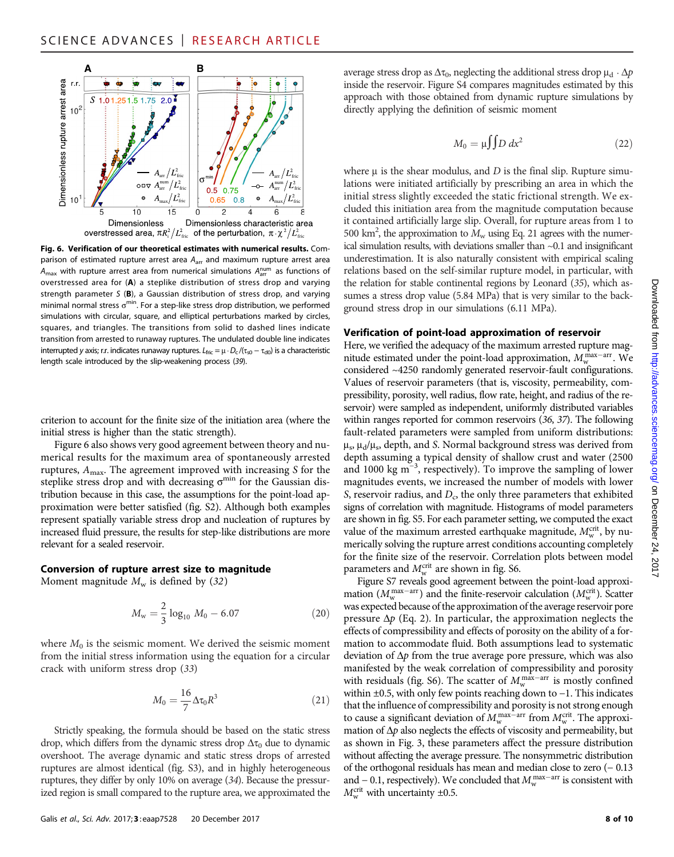

Fig. 6. Verification of our theoretical estimates with numerical results. Comparison of estimated rupture arrest area  $A<sub>arr</sub>$  and maximum rupture arrest area  $A_{\text{max}}$  with rupture arrest area from numerical simulations  $A_{\text{arr}}^{\text{num}}$  as functions of overstressed area for (A) a steplike distribution of stress drop and varying strength parameter S (B), a Gaussian distribution of stress drop, and varying minimal normal stress  $\sigma^{\text{min}}$ . For a step-like stress drop distribution, we performed simulations with circular, square, and elliptical perturbations marked by circles, squares, and triangles. The transitions from solid to dashed lines indicate transition from arrested to runaway ruptures. The undulated double line indicates interrupted y axis; r.r. indicates runaway ruptures.  $L_{\text{fric}} = \mu \cdot D_c / (\tau_{s0} - \tau_{d0})$  is a characteristic length scale introduced by the slip-weakening process (39).

criterion to account for the finite size of the initiation area (where the initial stress is higher than the static strength).

Figure 6 also shows very good agreement between theory and numerical results for the maximum area of spontaneously arrested ruptures,  $A<sub>max</sub>$ . The agreement improved with increasing S for the steplike stress drop and with decreasing  $\sigma^{\min}$  for the Gaussian distribution because in this case, the assumptions for the point-load approximation were better satisfied (fig. S2). Although both examples represent spatially variable stress drop and nucleation of ruptures by increased fluid pressure, the results for step-like distributions are more relevant for a sealed reservoir.

# Conversion of rupture arrest size to magnitude

Moment magnitude  $M_w$  is defined by (32)

$$
M_{\rm w} = \frac{2}{3} \log_{10} M_0 - 6.07 \tag{20}
$$

where  $M_0$  is the seismic moment. We derived the seismic moment from the initial stress information using the equation for a circular crack with uniform stress drop (33)

$$
M_0 = \frac{16}{7} \Delta \tau_0 R^3 \tag{21}
$$

Strictly speaking, the formula should be based on the static stress drop, which differs from the dynamic stress drop  $\Delta\tau_0$  due to dynamic overshoot. The average dynamic and static stress drops of arrested ruptures are almost identical (fig. S3), and in highly heterogeneous ruptures, they differ by only 10% on average (34). Because the pressurized region is small compared to the rupture area, we approximated the

Galis et al., Sci. Adv. 2017;3: eaap7528 20 December 2017 8 06 10

average stress drop as  $\Delta \tau_0$ , neglecting the additional stress drop  $\mu_d \cdot \Delta p$ inside the reservoir. Figure S4 compares magnitudes estimated by this approach with those obtained from dynamic rupture simulations by directly applying the definition of seismic moment

$$
M_0 = \mu \int D dx^2 \tag{22}
$$

where  $\mu$  is the shear modulus, and  $D$  is the final slip. Rupture simulations were initiated artificially by prescribing an area in which the initial stress slightly exceeded the static frictional strength. We excluded this initiation area from the magnitude computation because it contained artificially large slip. Overall, for rupture areas from 1 to 500 km<sup>2</sup>, the approximation to  $\dot{M}_{\rm w}$  using Eq. 21 agrees with the numerical simulation results, with deviations smaller than ~0.1 and insignificant underestimation. It is also naturally consistent with empirical scaling relations based on the self-similar rupture model, in particular, with the relation for stable continental regions by Leonard (35), which assumes a stress drop value (5.84 MPa) that is very similar to the background stress drop in our simulations (6.11 MPa).

#### Verification of point-load approximation of reservoir

Here, we verified the adequacy of the maximum arrested rupture magnitude estimated under the point-load approximation,  $M_{\rm w}^{\rm max-arr}$ . We considered ~4250 randomly generated reservoir-fault configurations. Values of reservoir parameters (that is, viscosity, permeability, compressibility, porosity, well radius, flow rate, height, and radius of the reservoir) were sampled as independent, uniformly distributed variables within ranges reported for common reservoirs (36, 37). The following fault-related parameters were sampled from uniform distributions:  $\mu_s$ ,  $\mu_d/\mu_s$ , depth, and S. Normal background stress was derived from depth assuming a typical density of shallow crust and water (2500 and 1000 kg m−<sup>3</sup> , respectively). To improve the sampling of lower magnitudes events, we increased the number of models with lower S, reservoir radius, and  $D_c$ , the only three parameters that exhibited signs of correlation with magnitude. Histograms of model parameters are shown in fig. S5. For each parameter setting, we computed the exact value of the maximum arrested earthquake magnitude,  $M_{\rm w}^{\rm crit}$ , by numerically solving the rupture arrest conditions accounting completely for the finite size of the reservoir. Correlation plots between model parameters and  $M_{\rm w}^{\rm crit}$  are shown in fig. S6.

Figure S7 reveals good agreement between the point-load approximation ( $M_{\rm w}^{\rm max-arr}$ ) and the finite-reservoir calculation ( $M_{\rm w}^{\rm crit}$ ). Scatter was expected because of the approximation of the average reservoir pore pressure  $\Delta p$  (Eq. 2). In particular, the approximation neglects the effects of compressibility and effects of porosity on the ability of a formation to accommodate fluid. Both assumptions lead to systematic deviation of  $\Delta p$  from the true average pore pressure, which was also manifested by the weak correlation of compressibility and porosity with residuals (fig. S6). The scatter of  $M_{\rm w}^{\rm max-arr}$  is mostly confined within ±0.5, with only few points reaching down to −1. This indicates that the influence of compressibility and porosity is not strong enough to cause a significant deviation of  $M_{\rm w}^{\rm max-arr}$  from  $M_{\rm w}^{\rm crit}$ . The approximation of  $\Delta p$  also neglects the effects of viscosity and permeability, but as shown in Fig. 3, these parameters affect the pressure distribution without affecting the average pressure. The nonsymmetric distribution of the orthogonal residuals has mean and median close to zero (− 0.13 and – 0.1, respectively). We concluded that  $M_{\rm w}^{\rm max-arr}$  is consistent with  $M_{\rm w}^{\rm crit}$  with uncertainty  $\pm 0.5$ .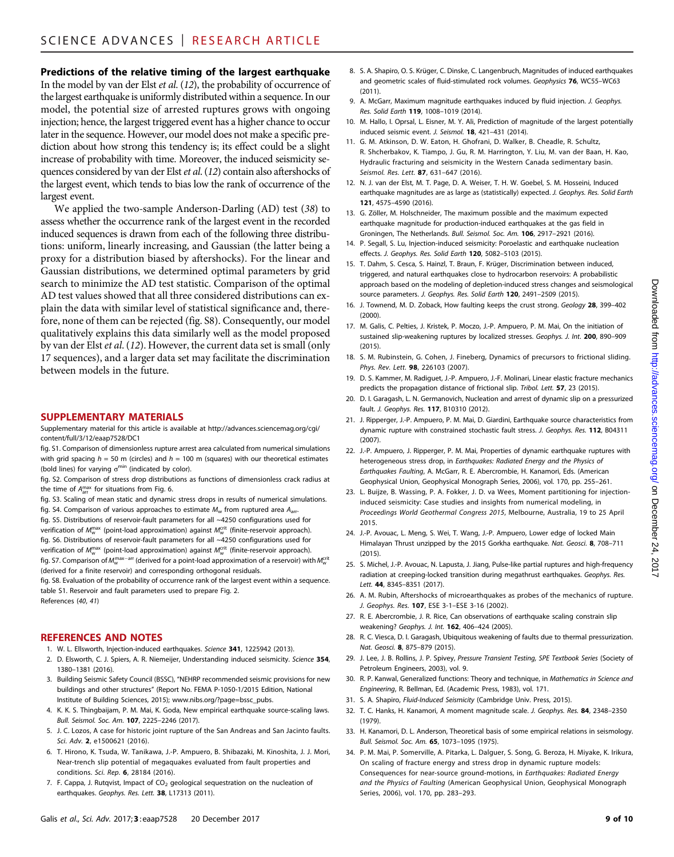# Predictions of the relative timing of the largest earthquake

In the model by van der Elst et al. (12), the probability of occurrence of the largest earthquake is uniformly distributed within a sequence. In our model, the potential size of arrested ruptures grows with ongoing injection; hence, the largest triggered event has a higher chance to occur later in the sequence. However, our model does not make a specific prediction about how strong this tendency is; its effect could be a slight increase of probability with time. Moreover, the induced seismicity sequences considered by van der Elstet al. (12) contain also aftershocks of the largest event, which tends to bias low the rank of occurrence of the largest event.

We applied the two-sample Anderson-Darling (AD) test (38) to assess whether the occurrence rank of the largest event in the recorded induced sequences is drawn from each of the following three distributions: uniform, linearly increasing, and Gaussian (the latter being a proxy for a distribution biased by aftershocks). For the linear and Gaussian distributions, we determined optimal parameters by grid search to minimize the AD test statistic. Comparison of the optimal AD test values showed that all three considered distributions can explain the data with similar level of statistical significance and, therefore, none of them can be rejected (fig. S8). Consequently, our model qualitatively explains this data similarly well as the model proposed by van der Elst et al. (12). However, the current data set is small (only 17 sequences), and a larger data set may facilitate the discrimination between models in the future.

#### SUPPLEMENTARY MATERIALS

Supplementary material for this article is available at [http://advances.sciencemag.org/cgi/](http://advances.sciencemag.org/cgi/content/full/3/12/eaap7528/DC1) [content/full/3/12/eaap7528/DC1](http://advances.sciencemag.org/cgi/content/full/3/12/eaap7528/DC1)

- fig. S1. Comparison of dimensionless rupture arrest area calculated from numerical simulations with grid spacing  $h = 50$  m (circles) and  $h = 100$  m (squares) with our theoretical estimates (bold lines) for varying  $\sigma^{\min}$  (indicated by color).
- fig. S2. Comparison of stress drop distributions as functions of dimensionless crack radius at the time of  $A_{\text{arr}}^{\text{max}}$  for situations from Fig. 6.
- fig. S3. Scaling of mean static and dynamic stress drops in results of numerical simulations. fig. S4. Comparison of various approaches to estimate  $M_w$  from ruptured area  $A_{\text{arr}}$ .
- fig. S5. Distributions of reservoir-fault parameters for all ~4250 configurations used for verification of  $M_{\rm w}^{\rm max}$  (point-load approximation) against  $M_{\rm w}^{\rm crit}$  (finite-reservoir approach). fig. S6. Distributions of reservoir-fault parameters for all ~4250 configurations used for verification of  $M_{\rm w}^{\rm max}$  (point-load approximation) against  $M_{\rm w}^{\rm crit}$  (finite-reservoir approach). fig. S7. Comparison of  $M_{\rm w}^{\rm max-arr}$  (derived for a point-load approximation of a reservoir) with  $M_{\rm w}^{\rm crit}$ (derived for a finite reservoir) and corresponding orthogonal residuals.
- fig. S8. Evaluation of the probability of occurrence rank of the largest event within a sequence. table S1. Reservoir and fault parameters used to prepare Fig. 2. References (40, 41)

#### REFERENCES AND NOTES

- 1. W. L. Ellsworth, Injection-induced earthquakes. Science 341, 1225942 (2013).
- 2. D. Elsworth, C. J. Spiers, A. R. Niemeijer, Understanding induced seismicity. Science 354, 1380–1381 (2016).
- 3. Building Seismic Safety Council (BSSC), "NEHRP recommended seismic provisions for new buildings and other structures" (Report No. FEMA P-1050-1/2015 Edition, National Institute of Building Sciences, 2015); [www.nibs.org/?page=bssc\\_pubs.](http://www.nibs.org/?page=bssc_pubs)
- 4. K. K. S. Thingbaijam, P. M. Mai, K. Goda, New empirical earthquake source-scaling laws. Bull. Seismol. Soc. Am. 107, 2225–2246 (2017).
- 5. J. C. Lozos, A case for historic joint rupture of the San Andreas and San Jacinto faults. Sci. Adv. 2, e1500621 (2016).
- 6. T. Hirono, K. Tsuda, W. Tanikawa, J.-P. Ampuero, B. Shibazaki, M. Kinoshita, J. J. Mori, Near-trench slip potential of megaquakes evaluated from fault properties and conditions. Sci. Rep. 6, 28184 (2016).
- 7. F. Cappa, J. Rutqvist, Impact of  $CO<sub>2</sub>$  geological sequestration on the nucleation of earthquakes. Geophys. Res. Lett. 38, L17313 (2011).
- 8. S. A. Shapiro, O. S. Krüger, C. Dinske, C. Langenbruch, Magnitudes of induced earthquakes and geometric scales of fluid-stimulated rock volumes. Geophysics 76, WC55–WC63 (2011).
- 9. A. McGarr, Maximum magnitude earthquakes induced by fluid injection. J. Geophys. Res. Solid Earth 119, 1008–1019 (2014).
- 10. M. Hallo, I. Oprsal, L. Eisner, M. Y. Ali, Prediction of magnitude of the largest potentially induced seismic event. J. Seismol. 18, 421–431 (2014).
- 11. G. M. Atkinson, D. W. Eaton, H. Ghofrani, D. Walker, B. Cheadle, R. Schultz, R. Shcherbakov, K. Tiampo, J. Gu, R. M. Harrington, Y. Liu, M. van der Baan, H. Kao, Hydraulic fracturing and seismicity in the Western Canada sedimentary basin. Seismol. Res. Lett. 87, 631-647 (2016).
- 12. N. J. van der Elst, M. T. Page, D. A. Weiser, T. H. W. Goebel, S. M. Hosseini, Induced earthquake magnitudes are as large as (statistically) expected. J. Geophys. Res. Solid Earth 121, 4575–4590 (2016).
- 13. G. Zöller, M. Holschneider, The maximum possible and the maximum expected earthquake magnitude for production-induced earthquakes at the gas field in Groningen, The Netherlands. Bull. Seismol. Soc. Am. 106, 2917–2921 (2016).
- 14. P. Segall, S. Lu, Injection-induced seismicity: Poroelastic and earthquake nucleation effects. J. Geophys. Res. Solid Earth 120, 5082–5103 (2015).
- 15. T. Dahm, S. Cesca, S. Hainzl, T. Braun, F. Krüger, Discrimination between induced, triggered, and natural earthquakes close to hydrocarbon reservoirs: A probabilistic approach based on the modeling of depletion-induced stress changes and seismological source parameters. J. Geophys. Res. Solid Earth 120, 2491-2509 (2015).
- 16. J. Townend, M. D. Zoback, How faulting keeps the crust strong. Geology 28, 399–402 (2000).
- 17. M. Galis, C. Pelties, J. Kristek, P. Moczo, J.-P. Ampuero, P. M. Mai, On the initiation of sustained slip-weakening ruptures by localized stresses. Geophys. J. Int. 200, 890–909  $(2015)$
- 18. S. M. Rubinstein, G. Cohen, J. Fineberg, Dynamics of precursors to frictional sliding. Phys. Rev. Lett. 98, 226103 (2007).
- 19. D. S. Kammer, M. Radiguet, J.-P. Ampuero, J.-F. Molinari, Linear elastic fracture mechanics predicts the propagation distance of frictional slip. Tribol. Lett. 57, 23 (2015).
- 20. D. I. Garagash, L. N. Germanovich, Nucleation and arrest of dynamic slip on a pressurized fault. J. Geophys. Res. 117, B10310 (2012).
- 21. J. Ripperger, J.-P. Ampuero, P. M. Mai, D. Giardini, Earthquake source characteristics from dynamic rupture with constrained stochastic fault stress. J. Geophys. Res. 112, B04311 (2007).
- 22. J.-P. Ampuero, J. Ripperger, P. M. Mai, Properties of dynamic earthquake ruptures with heterogeneous stress drop, in Earthquakes: Radiated Energy and the Physics of Earthquakes Faulting, A. McGarr, R. E. Abercrombie, H. Kanamori, Eds. (American Geophysical Union, Geophysical Monograph Series, 2006), vol. 170, pp. 255–261.
- 23. L. Buijze, B. Wassing, P. A. Fokker, J. D. va Wees, Moment partitioning for injectioninduced seismicity: Case studies and insights from numerical modeling, in Proceedings World Geothermal Congress 2015, Melbourne, Australia, 19 to 25 April 2015.
- 24. J.-P. Avouac, L. Meng, S. Wei, T. Wang, J.-P. Ampuero, Lower edge of locked Main Himalayan Thrust unzipped by the 2015 Gorkha earthquake. Nat. Geosci. 8, 708-711  $(2015)$
- 25. S. Michel, J.-P. Avouac, N. Lapusta, J. Jiang, Pulse-like partial ruptures and high-frequency radiation at creeping-locked transition during megathrust earthquakes. Geophys. Res. Lett. 44, 8345–8351 (2017).
- 26. A. M. Rubin, Aftershocks of microearthquakes as probes of the mechanics of rupture. J. Geophys. Res. 107, ESE 3-1–ESE 3-16 (2002).
- 27. R. E. Abercrombie, J. R. Rice, Can observations of earthquake scaling constrain slip weakening? Geophys. J. Int. 162, 406–424 (2005).
- 28. R. C. Viesca, D. I. Garagash, Ubiquitous weakening of faults due to thermal pressurization. Nat. Geosci. 8, 875–879 (2015).
- 29. J. Lee, J. B. Rollins, J. P. Spivey, Pressure Transient Testing, SPE Textbook Series (Society of Petroleum Engineers, 2003), vol. 9.
- 30. R. P. Kanwal, Generalized functions: Theory and technique, in Mathematics in Science and Engineering, R. Bellman, Ed. (Academic Press, 1983), vol. 171.
- 31. S. A. Shapiro, Fluid-Induced Seismicity (Cambridge Univ. Press, 2015).
- 32. T. C. Hanks, H. Kanamori, A moment magnitude scale. J. Geophys. Res. 84, 2348-2350 (1979).
- 33. H. Kanamori, D. L. Anderson, Theoretical basis of some empirical relations in seismology. Bull. Seismol. Soc. Am. 65, 1073–1095 (1975).
- 34. P. M. Mai, P. Somerville, A. Pitarka, L. Dalguer, S. Song, G. Beroza, H. Miyake, K. Irikura, On scaling of fracture energy and stress drop in dynamic rupture models: Consequences for near-source ground-motions, in Earthquakes: Radiated Energy and the Physics of Faulting (American Geophysical Union, Geophysical Monograph Series, 2006), vol. 170, pp. 283–293.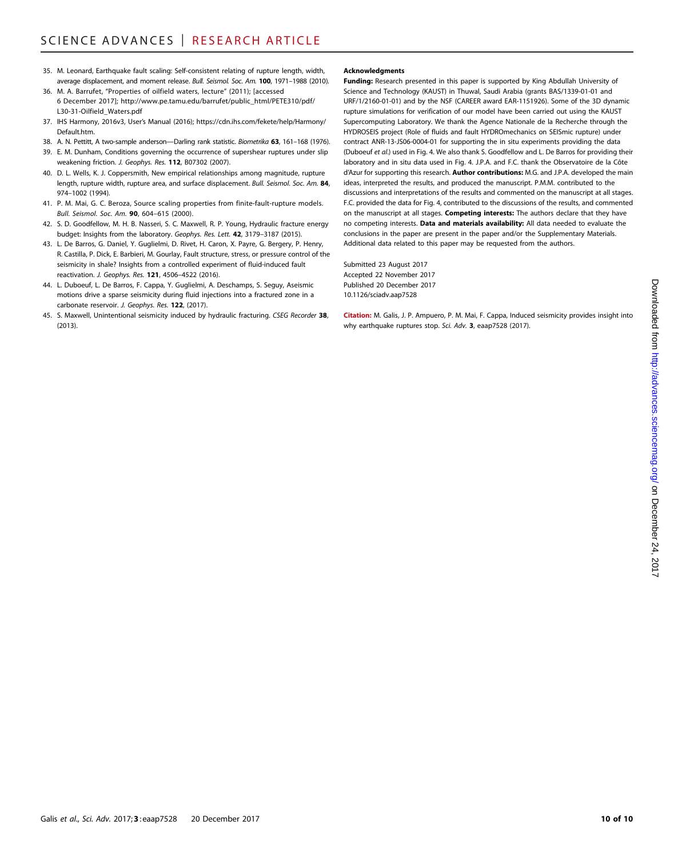- 35. M. Leonard, Earthquake fault scaling: Self-consistent relating of rupture length, width, average displacement, and moment release. Bull. Seismol. Soc. Am. 100, 1971–1988 (2010).
- 36. M. A. Barrufet, "Properties of oilfield waters, lecture" (2011); [accessed 6 December 2017]; [http://www.pe.tamu.edu/barrufet/public\\_html/PETE310/pdf/](http://www.pe.tamu.edu/barrufet/public_html/PETE310/pdf/L30-31-Oilfield_Waters.pdf) [L30-31-Oilfield\\_Waters.pdf](http://www.pe.tamu.edu/barrufet/public_html/PETE310/pdf/L30-31-Oilfield_Waters.pdf)
- 37. IHS Harmony, 2016v3, User's Manual (2016); [https://cdn.ihs.com/fekete/help/Harmony/](https://cdn.ihs.com/fekete/help/Harmony/Default.htm) [Default.htm](https://cdn.ihs.com/fekete/help/Harmony/Default.htm)
- 38. A. N. Pettitt, A two-sample anderson-Darling rank statistic. Biometrika 63, 161-168 (1976).
- 39. E. M. Dunham, Conditions governing the occurrence of supershear ruptures under slip weakening friction. J. Geophys. Res. 112, B07302 (2007).
- 40. D. L. Wells, K. J. Coppersmith, New empirical relationships among magnitude, rupture length, rupture width, rupture area, and surface displacement. Bull. Seismol. Soc. Am. 84, 974–1002 (1994).
- 41. P. M. Mai, G. C. Beroza, Source scaling properties from finite-fault-rupture models. Bull. Seismol. Soc. Am. 90, 604–615 (2000).
- 42. S. D. Goodfellow, M. H. B. Nasseri, S. C. Maxwell, R. P. Young, Hydraulic fracture energy budget: Insights from the laboratory. Geophys. Res. Lett. 42, 3179-3187 (2015).
- 43. L. De Barros, G. Daniel, Y. Guglielmi, D. Rivet, H. Caron, X. Payre, G. Bergery, P. Henry, R. Castilla, P. Dick, E. Barbieri, M. Gourlay, Fault structure, stress, or pressure control of the seismicity in shale? Insights from a controlled experiment of fluid-induced fault reactivation. J. Geophys. Res. 121, 4506–4522 (2016).
- 44. L. Duboeuf, L. De Barros, F. Cappa, Y. Guglielmi, A. Deschamps, S. Seguy, Aseismic motions drive a sparse seismicity during fluid injections into a fractured zone in a carbonate reservoir. J. Geophys. Res. 122, (2017).
- 45. S. Maxwell, Unintentional seismicity induced by hydraulic fracturing. CSEG Recorder 38, (2013).

#### Acknowledgments

Funding: Research presented in this paper is supported by King Abdullah University of Science and Technology (KAUST) in Thuwal, Saudi Arabia (grants BAS/1339-01-01 and URF/1/2160-01-01) and by the NSF (CAREER award EAR-1151926). Some of the 3D dynamic rupture simulations for verification of our model have been carried out using the KAUST Supercomputing Laboratory. We thank the Agence Nationale de la Recherche through the HYDROSEIS project (Role of fluids and fault HYDROmechanics on SEISmic rupture) under contract ANR-13-JS06-0004-01 for supporting the in situ experiments providing the data (Duboeuf et al.) used in Fig. 4. We also thank S. Goodfellow and L. De Barros for providing their laboratory and in situ data used in Fig. 4. J.P.A. and F.C. thank the Observatoire de la Côte d'Azur for supporting this research. **Author contributions:** M.G. and J.P.A. developed the main ideas, interpreted the results, and produced the manuscript. P.M.M. contributed to the discussions and interpretations of the results and commented on the manuscript at all stages. F.C. provided the data for Fig. 4, contributed to the discussions of the results, and commented on the manuscript at all stages. Competing interests: The authors declare that they have no competing interests. Data and materials availability: All data needed to evaluate the conclusions in the paper are present in the paper and/or the Supplementary Materials. Additional data related to this paper may be requested from the authors.

Submitted 23 August 2017 Accepted 22 November 2017 Published 20 December 2017 10.1126/sciadv.aap7528

Citation: M. Galis, J. P. Ampuero, P. M. Mai, F. Cappa, Induced seismicity provides insight into why earthquake ruptures stop. Sci. Adv. 3, eaap7528 (2017).